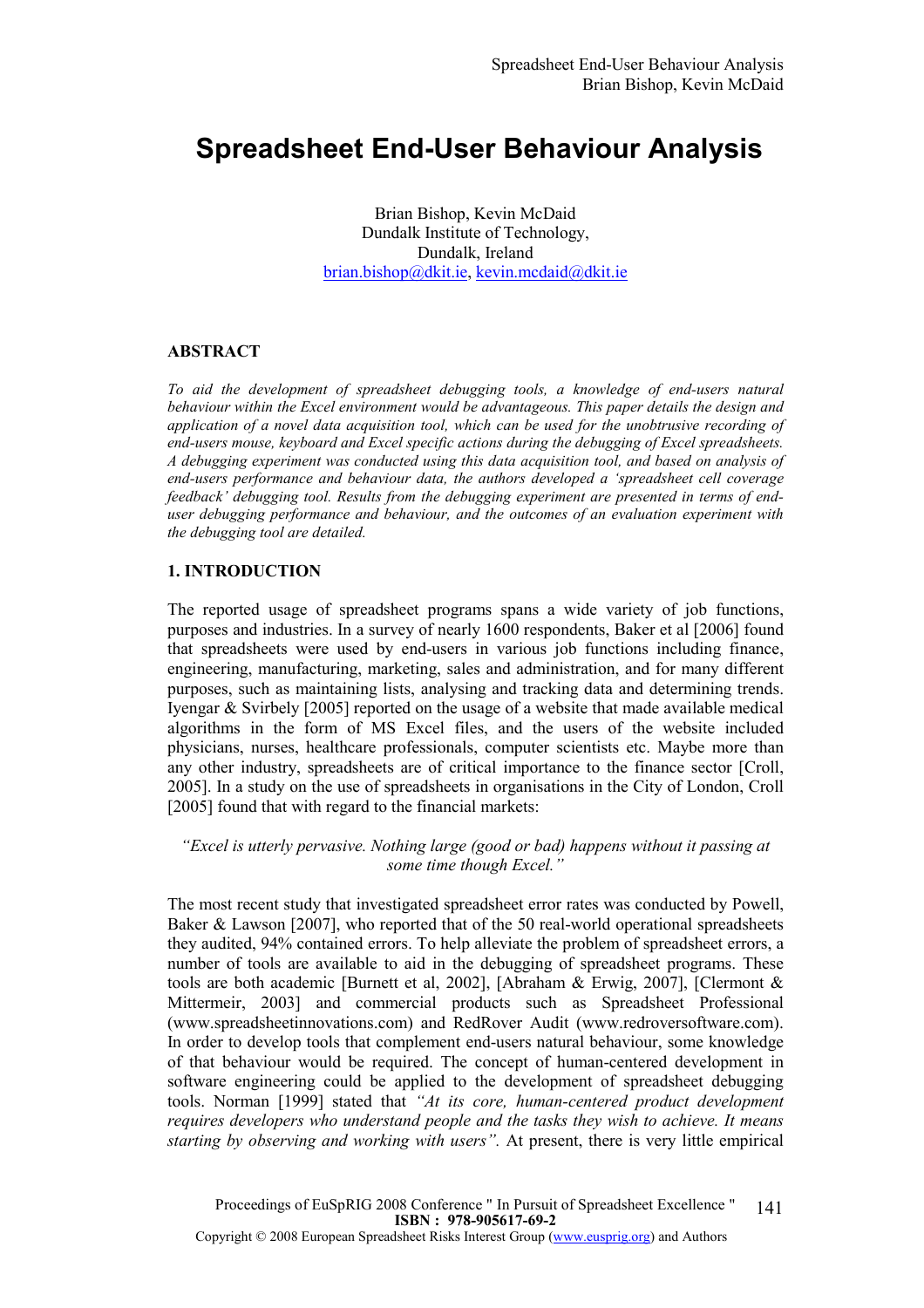# Spreadsheet End-User Behaviour Analysis

Brian Bishop, Kevin McDaid Dundalk Institute of Technology, Dundalk, Ireland brian.bishop@dkit.ie, kevin.mcdaid@dkit.ie

# ABSTRACT

To aid the development of spreadsheet debugging tools, a knowledge of end-users natural behaviour within the Excel environment would be advantageous. This paper details the design and application of a novel data acquisition tool, which can be used for the unobtrusive recording of end-users mouse, keyboard and Excel specific actions during the debugging of Excel spreadsheets. A debugging experiment was conducted using this data acquisition tool, and based on analysis of end-users performance and behaviour data, the authors developed a 'spreadsheet cell coverage feedback' debugging tool. Results from the debugging experiment are presented in terms of enduser debugging performance and behaviour, and the outcomes of an evaluation experiment with the debugging tool are detailed.

#### 1. INTRODUCTION

The reported usage of spreadsheet programs spans a wide variety of job functions, purposes and industries. In a survey of nearly 1600 respondents, Baker et al [2006] found that spreadsheets were used by end-users in various job functions including finance, engineering, manufacturing, marketing, sales and administration, and for many different purposes, such as maintaining lists, analysing and tracking data and determining trends. Iyengar & Svirbely [2005] reported on the usage of a website that made available medical algorithms in the form of MS Excel files, and the users of the website included physicians, nurses, healthcare professionals, computer scientists etc. Maybe more than any other industry, spreadsheets are of critical importance to the finance sector [Croll, 2005]. In a study on the use of spreadsheets in organisations in the City of London, Croll [2005] found that with regard to the financial markets:

"Excel is utterly pervasive. Nothing large (good or bad) happens without it passing at some time though Excel."

The most recent study that investigated spreadsheet error rates was conducted by Powell, Baker & Lawson [2007], who reported that of the 50 real-world operational spreadsheets they audited, 94% contained errors. To help alleviate the problem of spreadsheet errors, a number of tools are available to aid in the debugging of spreadsheet programs. These tools are both academic [Burnett et al, 2002], [Abraham & Erwig, 2007], [Clermont & Mittermeir, 2003] and commercial products such as Spreadsheet Professional (www.spreadsheetinnovations.com) and RedRover Audit (www.redroversoftware.com). In order to develop tools that complement end-users natural behaviour, some knowledge of that behaviour would be required. The concept of human-centered development in software engineering could be applied to the development of spreadsheet debugging tools. Norman [1999] stated that "At its core, human-centered product development requires developers who understand people and the tasks they wish to achieve. It means starting by observing and working with users". At present, there is very little empirical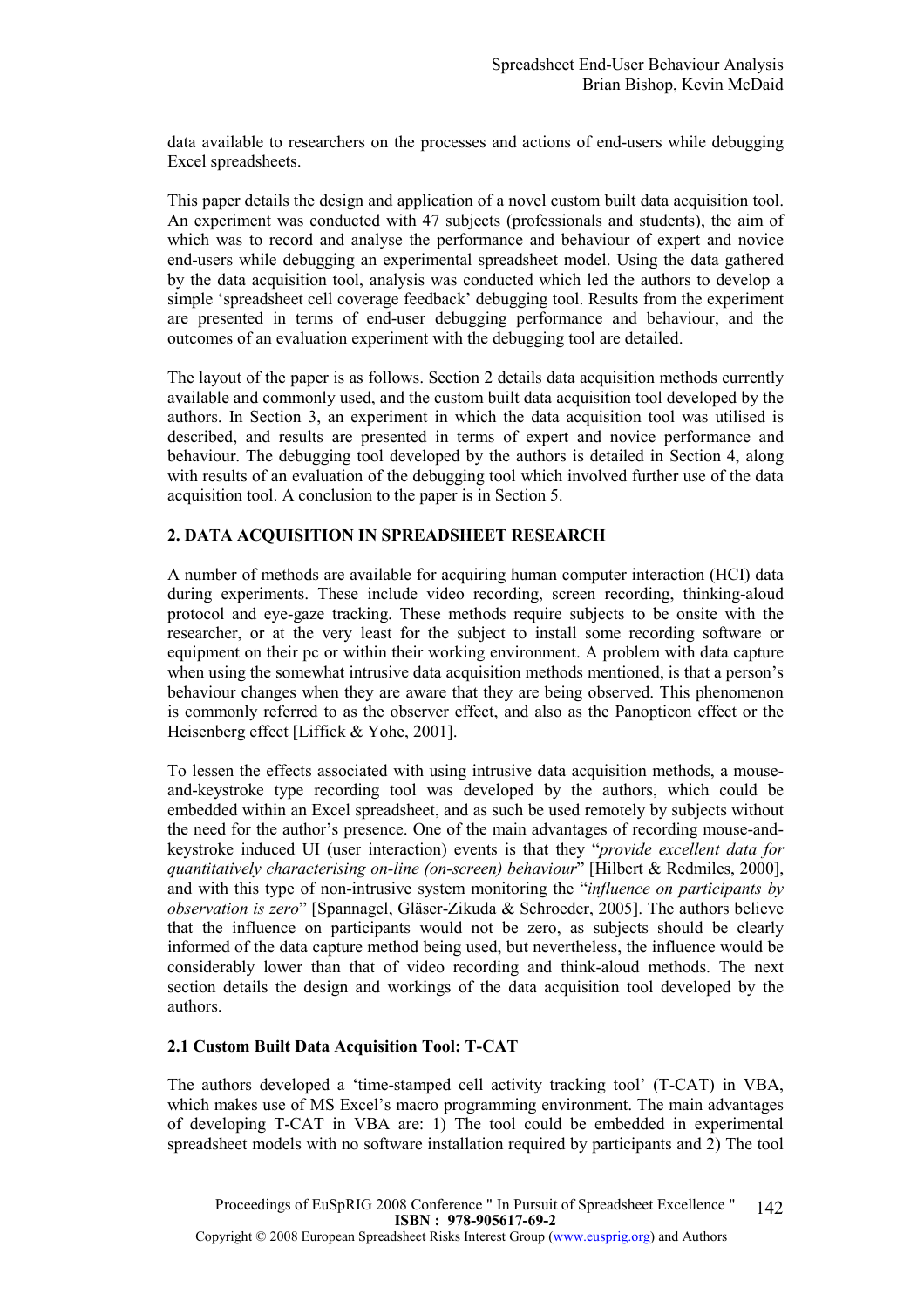data available to researchers on the processes and actions of end-users while debugging Excel spreadsheets.

This paper details the design and application of a novel custom built data acquisition tool. An experiment was conducted with 47 subjects (professionals and students), the aim of which was to record and analyse the performance and behaviour of expert and novice end-users while debugging an experimental spreadsheet model. Using the data gathered by the data acquisition tool, analysis was conducted which led the authors to develop a simple 'spreadsheet cell coverage feedback' debugging tool. Results from the experiment are presented in terms of end-user debugging performance and behaviour, and the outcomes of an evaluation experiment with the debugging tool are detailed.

The layout of the paper is as follows. Section 2 details data acquisition methods currently available and commonly used, and the custom built data acquisition tool developed by the authors. In Section 3, an experiment in which the data acquisition tool was utilised is described, and results are presented in terms of expert and novice performance and behaviour. The debugging tool developed by the authors is detailed in Section 4, along with results of an evaluation of the debugging tool which involved further use of the data acquisition tool. A conclusion to the paper is in Section 5.

# 2. DATA ACQUISITION IN SPREADSHEET RESEARCH

A number of methods are available for acquiring human computer interaction (HCI) data during experiments. These include video recording, screen recording, thinking-aloud protocol and eye-gaze tracking. These methods require subjects to be onsite with the researcher, or at the very least for the subject to install some recording software or equipment on their pc or within their working environment. A problem with data capture when using the somewhat intrusive data acquisition methods mentioned, is that a person's behaviour changes when they are aware that they are being observed. This phenomenon is commonly referred to as the observer effect, and also as the Panopticon effect or the Heisenberg effect [Liffick & Yohe, 2001].

To lessen the effects associated with using intrusive data acquisition methods, a mouseand-keystroke type recording tool was developed by the authors, which could be embedded within an Excel spreadsheet, and as such be used remotely by subjects without the need for the author's presence. One of the main advantages of recording mouse-andkeystroke induced UI (user interaction) events is that they "provide excellent data for quantitatively characterising on-line (on-screen) behaviour" [Hilbert & Redmiles, 2000], and with this type of non-intrusive system monitoring the "*influence on participants by* observation is zero" [Spannagel, Gläser-Zikuda & Schroeder, 2005]. The authors believe that the influence on participants would not be zero, as subjects should be clearly informed of the data capture method being used, but nevertheless, the influence would be considerably lower than that of video recording and think-aloud methods. The next section details the design and workings of the data acquisition tool developed by the authors.

# 2.1 Custom Built Data Acquisition Tool: T-CAT

The authors developed a 'time-stamped cell activity tracking tool' (T-CAT) in VBA, which makes use of MS Excel's macro programming environment. The main advantages of developing T-CAT in VBA are: 1) The tool could be embedded in experimental spreadsheet models with no software installation required by participants and 2) The tool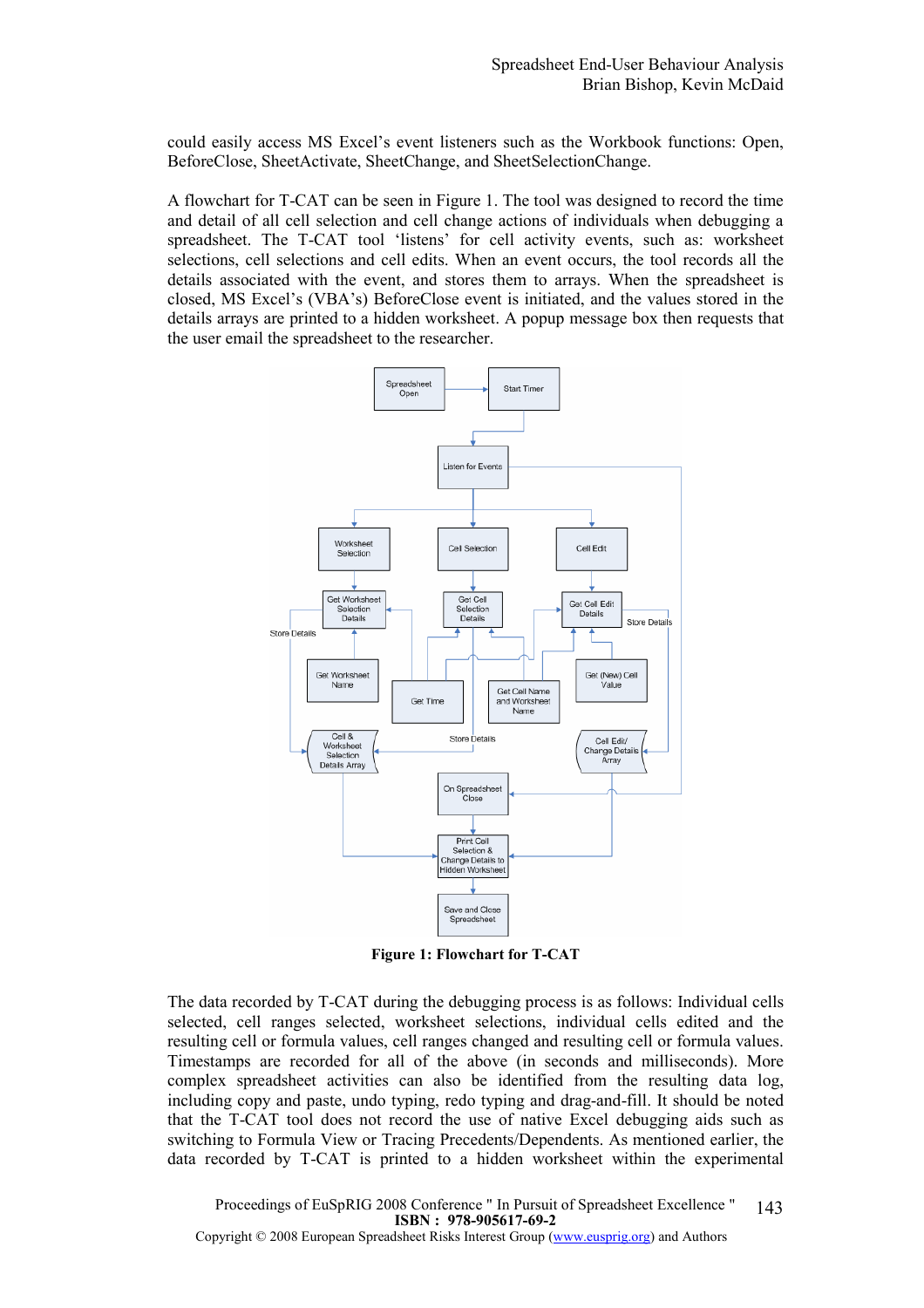could easily access MS Excel's event listeners such as the Workbook functions: Open, BeforeClose, SheetActivate, SheetChange, and SheetSelectionChange.

A flowchart for T-CAT can be seen in Figure 1. The tool was designed to record the time and detail of all cell selection and cell change actions of individuals when debugging a spreadsheet. The T-CAT tool 'listens' for cell activity events, such as: worksheet selections, cell selections and cell edits. When an event occurs, the tool records all the details associated with the event, and stores them to arrays. When the spreadsheet is closed, MS Excel's (VBA's) BeforeClose event is initiated, and the values stored in the details arrays are printed to a hidden worksheet. A popup message box then requests that the user email the spreadsheet to the researcher.



Figure 1: Flowchart for T-CAT

The data recorded by T-CAT during the debugging process is as follows: Individual cells selected, cell ranges selected, worksheet selections, individual cells edited and the resulting cell or formula values, cell ranges changed and resulting cell or formula values. Timestamps are recorded for all of the above (in seconds and milliseconds). More complex spreadsheet activities can also be identified from the resulting data log, including copy and paste, undo typing, redo typing and drag-and-fill. It should be noted that the T-CAT tool does not record the use of native Excel debugging aids such as switching to Formula View or Tracing Precedents/Dependents. As mentioned earlier, the data recorded by T-CAT is printed to a hidden worksheet within the experimental

Proceedings of EuSpRIG 2008 Conference " In Pursuit of Spreadsheet Excellence " ISBN : 978-905617-69-2 Copyright © 2008 European Spreadsheet Risks Interest Group (www.eusprig.org) and Authors 143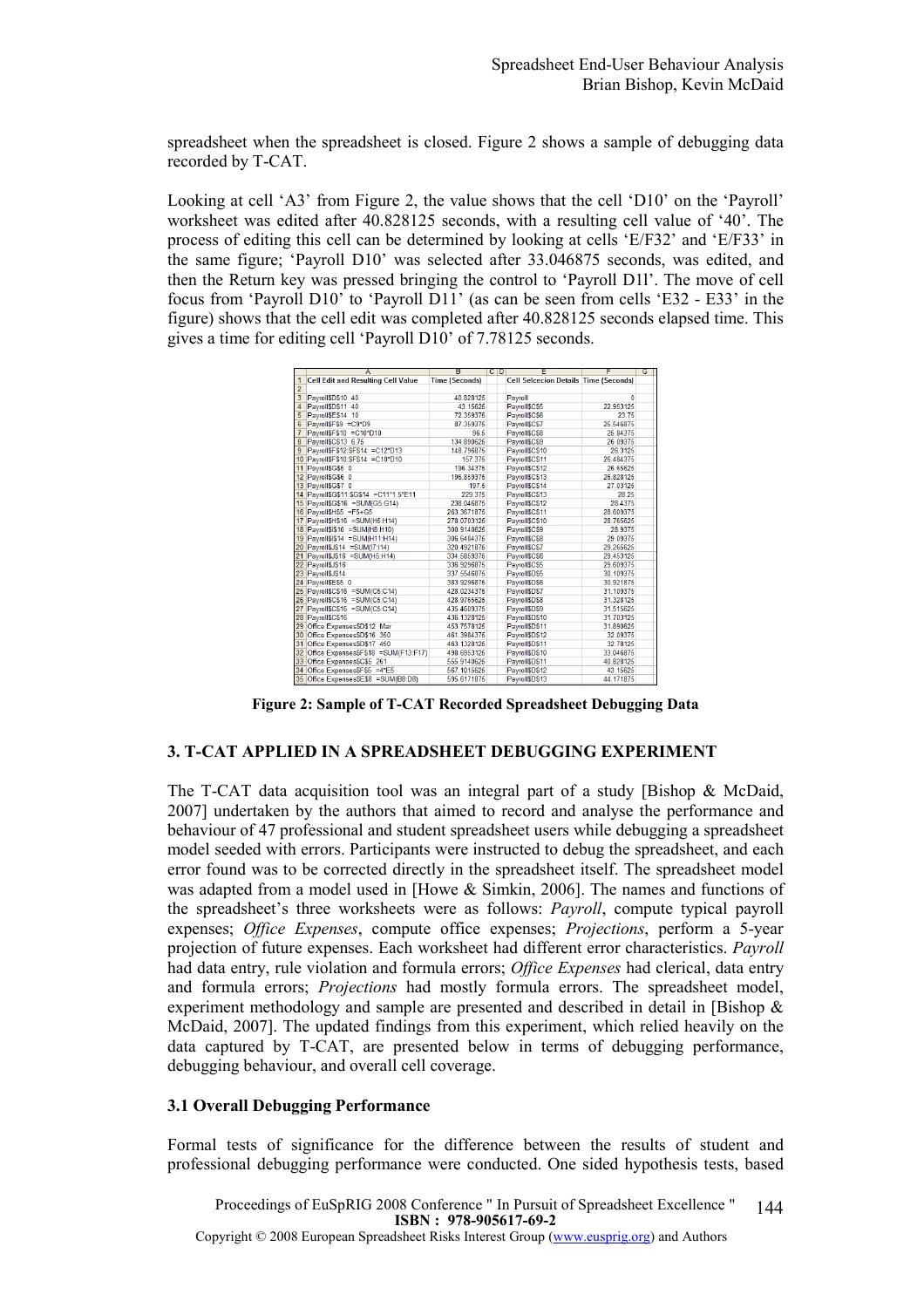spreadsheet when the spreadsheet is closed. Figure 2 shows a sample of debugging data recorded by T-CAT.

Looking at cell 'A3' from Figure 2, the value shows that the cell 'D10' on the 'Payroll' worksheet was edited after 40.828125 seconds, with a resulting cell value of '40'. The process of editing this cell can be determined by looking at cells 'E/F32' and 'E/F33' in the same figure; 'Payroll D10' was selected after 33.046875 seconds, was edited, and then the Return key was pressed bringing the control to 'Payroll D1l'. The move of cell focus from 'Payroll D10' to 'Payroll D11' (as can be seen from cells 'E32 - E33' in the figure) shows that the cell edit was completed after 40.828125 seconds elapsed time. This gives a time for editing cell 'Payroll D10' of 7.78125 seconds.

|                         | А                                         | в                     | $C$ <sub>D</sub> | E                                            | F         | G |
|-------------------------|-------------------------------------------|-----------------------|------------------|----------------------------------------------|-----------|---|
| 1                       | <b>Cell Edit and Resulting Cell Value</b> | <b>Time (Seconds)</b> |                  | <b>Cell Selcecion Details Time (Seconds)</b> |           |   |
| $\overline{2}$          |                                           |                       |                  |                                              |           |   |
| $\overline{\mathbf{3}}$ | Pavroll\$D\$10 40                         | 40.828125             |                  | Payroll                                      | 0         |   |
| 4                       | Payroll\$D\$11 40                         | 43.15625              |                  | Payroll\$C\$5                                | 22.953125 |   |
| 5.                      | Pavroll\$E\$14 10                         | 72.359375             |                  | Payroll\$C\$6                                | 23.75     |   |
| 6                       | Payroll\$F\$9 =C9*D9                      | 87.359375             |                  | Payroll\$C\$7                                | 25.546875 |   |
| $\overline{7}$          | Payroll\$F\$10 =C10*D10                   | 96.5                  |                  | Payroll\$C\$8                                | 25.84375  |   |
| $\overline{\mathbf{8}}$ | Pavroll\$C\$13 6.75                       | 134.890625            |                  | Payroll\$C\$9                                | 26.09375  |   |
| $\overline{9}$          | Payroll\$F\$12:\$F\$14 =C12*D13           | 148.796875            |                  | Payroll\$C\$10                               | 26.3125   |   |
|                         | 10 Payroll\$F\$10:\$F\$14 =C10*D10        | 157.375               |                  | Payroll\$C\$11                               | 26.484375 |   |
|                         | 11 Payroll\$G\$5 0                        | 196.34375             |                  | Payroll\$C\$12                               | 26.65625  |   |
|                         | 12 Payroll\$G\$6 0                        | 196.859375            |                  | Payroll\$C\$13                               | 26.828125 |   |
|                         | 13 Payroll\$G\$7 0                        | 197.5                 |                  | Payroll\$C\$14                               | 27.03125  |   |
|                         | 14 Payroll\$G\$11:\$G\$14 =C11*1.5*E11    | 229.375               |                  | Payroll\$C\$13                               | 28.25     |   |
|                         | 15 Payroll\$G\$16 =SUM(G5:G14)            | 238.046875            |                  | Payroll\$C\$12                               | 28.4375   |   |
|                         | 16 Payroll\$H\$5 =F5+G5                   | 263.3671875           |                  | Payroll\$C\$11                               | 28.609375 |   |
|                         | 17 Payroll\$H\$16 =SUM(H5:H14)            | 278.0703125           |                  | Payroll\$C\$10                               | 28.765625 |   |
|                         | 18 Payroll\$I\$10 =SUM(H8:H10)            | 300.9140625           |                  | Payroll\$C\$9                                | 28.9375   |   |
|                         | 19 Payroll\$I\$14 =SUM(H11:H14)           | 306.6484375           |                  | Payroll\$C\$8                                | 29.09375  |   |
|                         | 20 Payroll\$J\$14 =SUM(I7:114)            | 320.4921875           |                  | Payroll\$C\$7                                | 29.265625 |   |
| $^{21}$                 | Payroll\$J\$16 =SUM(H5:H14)               | 334.5859375           |                  | Payroll\$C\$6                                | 29.453125 |   |
|                         | 22 Payroll\$J\$16                         | 336.9296875           |                  | Payroll\$C\$5                                | 29.609375 |   |
|                         | 23 Payroll\$J\$14                         | 337.5546875           |                  | Payroll\$D\$5                                | 30.109375 |   |
|                         | 24 PayrollSES5 0                          | 383.9296875           |                  | Payroll\$D\$6                                | 30.921875 |   |
|                         | 25 Payroll\$C\$16 =SUM(C5:C14)            | 428.0234375           |                  | Payroll\$D\$7                                | 31.109375 |   |
|                         | 26 Payroll\$C\$16 =SUM(C5:C14)            | 428.9765625           |                  | Payroll\$D\$8                                | 31.328125 |   |
|                         | 27 Payroll\$C\$16 =SUM(C5:C14)            | 435.4609375           |                  | Payroll\$D\$9                                | 31.515625 |   |
|                         | 28 Pavroll\$C\$16                         | 436.1328125           |                  | Pavroll\$D\$10                               | 31.703125 |   |
|                         | 29 Office Expenses\$D\$12 Mar             | 453.7578125           |                  | Payroll\$D\$11                               | 31.890625 |   |
|                         | 30 Office Expenses\$D\$16 350             | 461.3984375           |                  | Payroll\$D\$12                               | 32.09375  |   |
|                         | 31 Office Expenses\$D\$17 450             | 463.1328125           |                  | Pavroll\$D\$11                               | 32.78125  |   |
|                         | 32 Office Expenses\$F\$18 =SUM(F13:F17)   | 498.6953125           |                  | Pavroll\$D\$10                               | 33.046875 |   |
|                         | 33 Office Expenses\$C\$5 261              | 555.9140625           |                  | Payroll\$D\$11                               | 40.828125 |   |
|                         | 34 Office Expenses\$F\$5 =4*E5            | 567.1015625           |                  | Payroll\$D\$12                               | 43.15625  |   |
|                         | 35 Office Expenses\$E\$8 =SUM(B8:D8)      | 595.6171875           |                  | Pavroll\$D\$13                               | 44.171875 |   |
|                         |                                           |                       |                  |                                              |           |   |

Figure 2: Sample of T-CAT Recorded Spreadsheet Debugging Data

# 3. T-CAT APPLIED IN A SPREADSHEET DEBUGGING EXPERIMENT

The T-CAT data acquisition tool was an integral part of a study [Bishop & McDaid, 2007] undertaken by the authors that aimed to record and analyse the performance and behaviour of 47 professional and student spreadsheet users while debugging a spreadsheet model seeded with errors. Participants were instructed to debug the spreadsheet, and each error found was to be corrected directly in the spreadsheet itself. The spreadsheet model was adapted from a model used in [Howe & Simkin, 2006]. The names and functions of the spreadsheet's three worksheets were as follows: Payroll, compute typical payroll expenses; *Office Expenses*, compute office expenses; *Projections*, perform a 5-year projection of future expenses. Each worksheet had different error characteristics. Payroll had data entry, rule violation and formula errors; Office Expenses had clerical, data entry and formula errors; Projections had mostly formula errors. The spreadsheet model, experiment methodology and sample are presented and described in detail in [Bishop & McDaid, 2007]. The updated findings from this experiment, which relied heavily on the data captured by T-CAT, are presented below in terms of debugging performance, debugging behaviour, and overall cell coverage.

#### 3.1 Overall Debugging Performance

Formal tests of significance for the difference between the results of student and professional debugging performance were conducted. One sided hypothesis tests, based

Proceedings of EuSpRIG 2008 Conference " In Pursuit of Spreadsheet Excellence " ISBN : 978-905617-69-2 Copyright © 2008 European Spreadsheet Risks Interest Group (www.eusprig.org) and Authors 144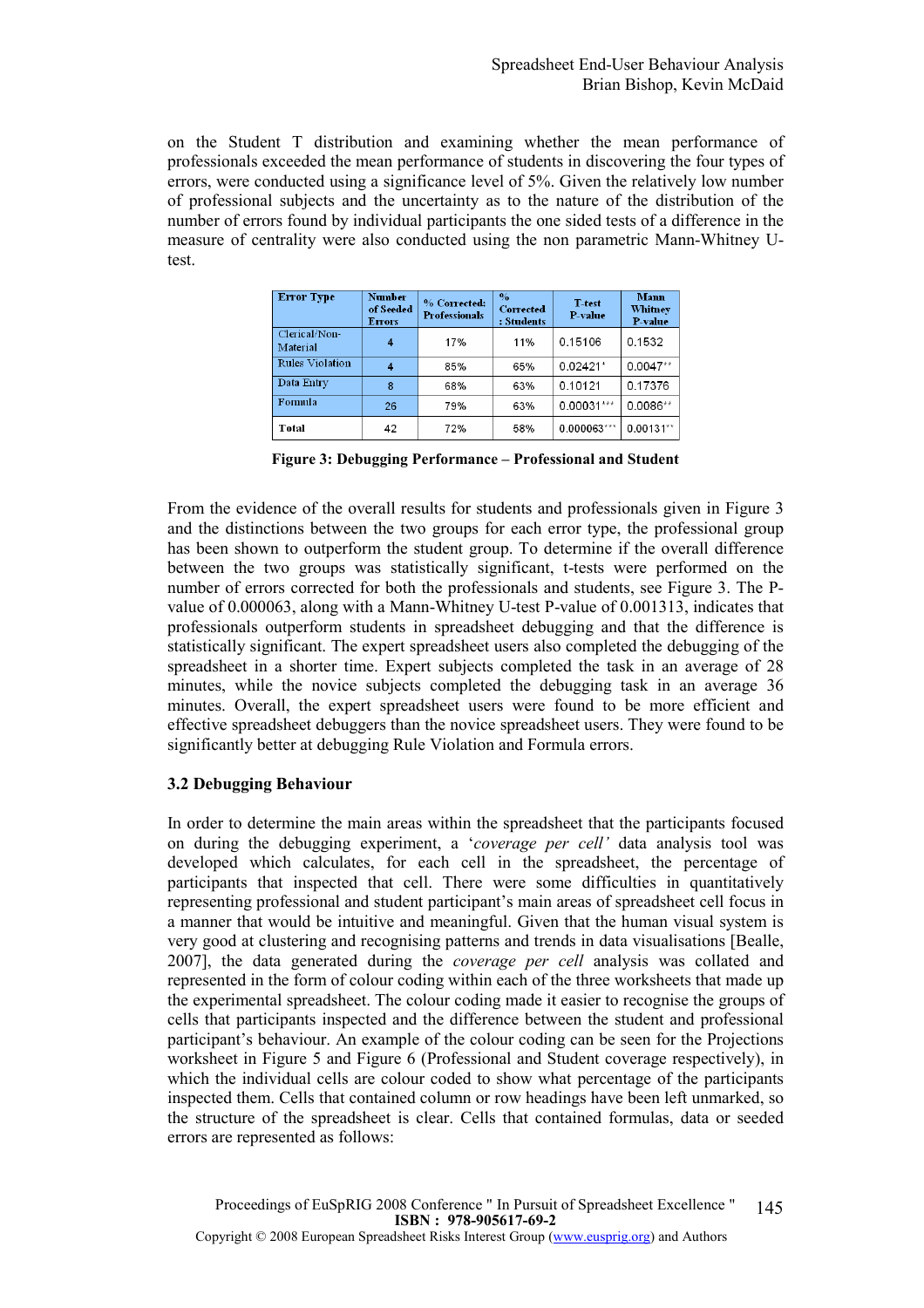on the Student T distribution and examining whether the mean performance of professionals exceeded the mean performance of students in discovering the four types of errors, were conducted using a significance level of 5%. Given the relatively low number of professional subjects and the uncertainty as to the nature of the distribution of the number of errors found by individual participants the one sided tests of a difference in the measure of centrality were also conducted using the non parametric Mann-Whitney Utest.

| <b>Error Type</b>         | <b>Number</b><br>of Seeded<br><b>Errors</b> | % Corrected:<br><b>Professionals</b> | $\frac{0}{\alpha}$<br>Corrected<br>: Students | T-test<br>P value | <b>Mann</b><br>Whitney<br>P-value |
|---------------------------|---------------------------------------------|--------------------------------------|-----------------------------------------------|-------------------|-----------------------------------|
| Clerical/Non-<br>Material | 4                                           | 17%                                  | 11%                                           | 0.15106           | 0.1532                            |
| <b>Rules Violation</b>    | 4                                           | 85%                                  | 65%                                           | $0.02421*$        | $0.0047**$                        |
| Data Entry                | 8                                           | 68%                                  | 63%                                           | 0.10121           | 0.17376                           |
| Formula                   | 26                                          | 79%                                  | 63%                                           | 0.00031***        | $0.0086**$                        |
| Total                     | 42                                          | 72%                                  | 58%                                           | $0.000063***$     | $0.00131**$                       |

Figure 3: Debugging Performance – Professional and Student

From the evidence of the overall results for students and professionals given in Figure 3 and the distinctions between the two groups for each error type, the professional group has been shown to outperform the student group. To determine if the overall difference between the two groups was statistically significant, t-tests were performed on the number of errors corrected for both the professionals and students, see Figure 3. The Pvalue of 0.000063, along with a Mann-Whitney U-test P-value of 0.001313, indicates that professionals outperform students in spreadsheet debugging and that the difference is statistically significant. The expert spreadsheet users also completed the debugging of the spreadsheet in a shorter time. Expert subjects completed the task in an average of 28 minutes, while the novice subjects completed the debugging task in an average 36 minutes. Overall, the expert spreadsheet users were found to be more efficient and effective spreadsheet debuggers than the novice spreadsheet users. They were found to be significantly better at debugging Rule Violation and Formula errors.

# 3.2 Debugging Behaviour

In order to determine the main areas within the spreadsheet that the participants focused on during the debugging experiment, a 'coverage per cell' data analysis tool was developed which calculates, for each cell in the spreadsheet, the percentage of participants that inspected that cell. There were some difficulties in quantitatively representing professional and student participant's main areas of spreadsheet cell focus in a manner that would be intuitive and meaningful. Given that the human visual system is very good at clustering and recognising patterns and trends in data visualisations [Bealle, 2007], the data generated during the coverage per cell analysis was collated and represented in the form of colour coding within each of the three worksheets that made up the experimental spreadsheet. The colour coding made it easier to recognise the groups of cells that participants inspected and the difference between the student and professional participant's behaviour. An example of the colour coding can be seen for the Projections worksheet in Figure 5 and Figure 6 (Professional and Student coverage respectively), in which the individual cells are colour coded to show what percentage of the participants inspected them. Cells that contained column or row headings have been left unmarked, so the structure of the spreadsheet is clear. Cells that contained formulas, data or seeded errors are represented as follows: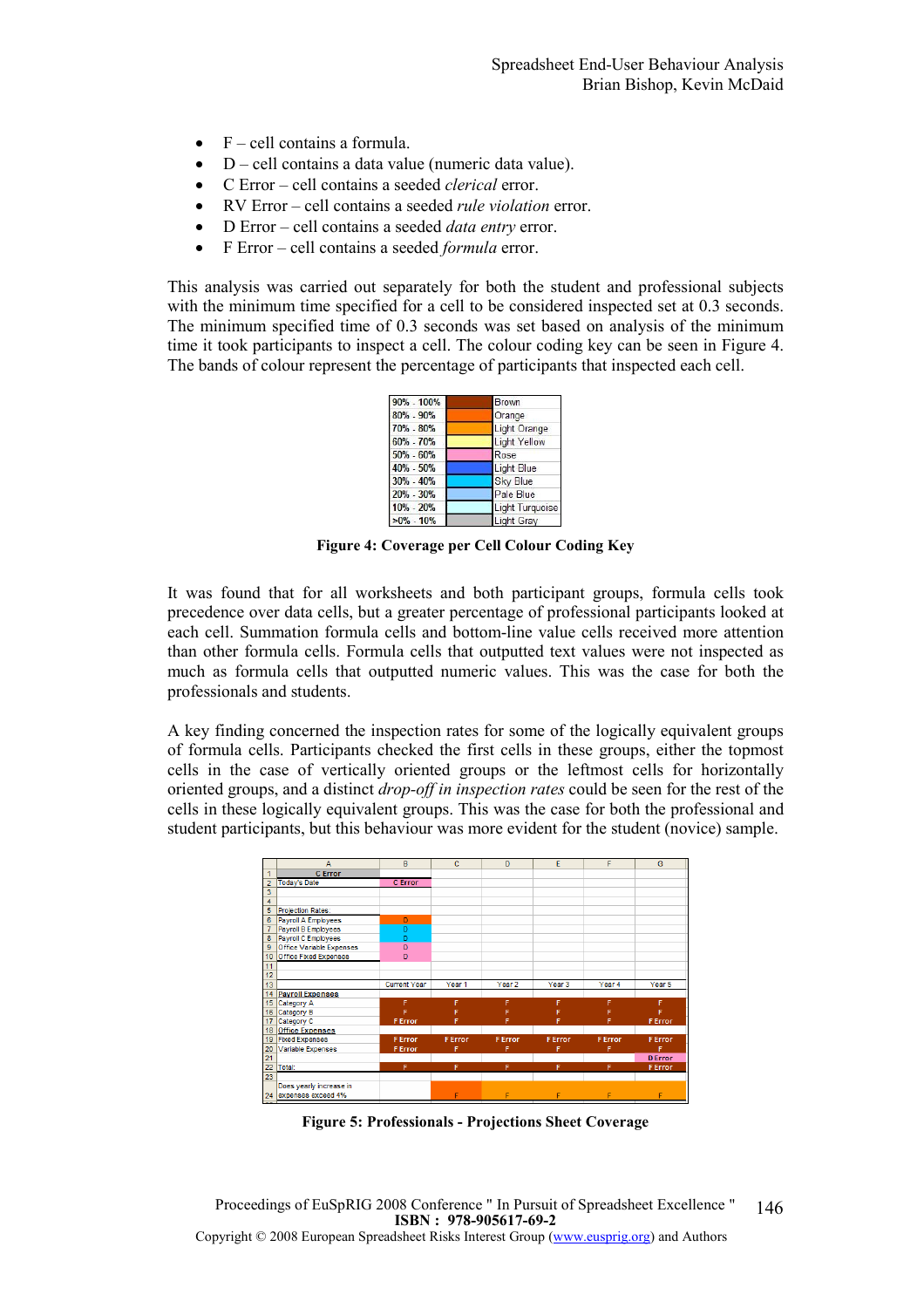- $\bullet$  F cell contains a formula.
- D cell contains a data value (numeric data value).
- C Error cell contains a seeded clerical error.
- RV Error cell contains a seeded *rule violation* error.
- D Error cell contains a seeded *data entry* error.
- F Error cell contains a seeded *formula* error.

This analysis was carried out separately for both the student and professional subjects with the minimum time specified for a cell to be considered inspected set at 0.3 seconds. The minimum specified time of 0.3 seconds was set based on analysis of the minimum time it took participants to inspect a cell. The colour coding key can be seen in Figure 4. The bands of colour represent the percentage of participants that inspected each cell.

| 90% - 100%    | Brown               |  |
|---------------|---------------------|--|
| $80\% - 90\%$ | Orange              |  |
| 70% - 80%     | Light Orange        |  |
| 60% - 70%     | <b>Light Yellow</b> |  |
| $50\% - 60\%$ | Rose                |  |
| 40% - 50%     | Light Blue          |  |
| 30% - 40%     | <b>Sky Blue</b>     |  |
| 20% - 30%     | Pale Blue           |  |
| $10\% - 20\%$ | Light Turquoise     |  |
| $>0\%$ - 10%  | <b>Light Grav</b>   |  |

Figure 4: Coverage per Cell Colour Coding Key

It was found that for all worksheets and both participant groups, formula cells took precedence over data cells, but a greater percentage of professional participants looked at each cell. Summation formula cells and bottom-line value cells received more attention than other formula cells. Formula cells that outputted text values were not inspected as much as formula cells that outputted numeric values. This was the case for both the professionals and students.

A key finding concerned the inspection rates for some of the logically equivalent groups of formula cells. Participants checked the first cells in these groups, either the topmost cells in the case of vertically oriented groups or the leftmost cells for horizontally oriented groups, and a distinct *drop-off in inspection rates* could be seen for the rest of the cells in these logically equivalent groups. This was the case for both the professional and student participants, but this behaviour was more evident for the student (novice) sample.

|                 | А                            | B                   | c              | n                 | E                 | F              | G              |
|-----------------|------------------------------|---------------------|----------------|-------------------|-------------------|----------------|----------------|
| 1               | <b>C</b> Error               |                     |                |                   |                   |                |                |
| $\overline{2}$  | <b>Today's Date</b>          | <b>C</b> Error      |                |                   |                   |                |                |
| 3               |                              |                     |                |                   |                   |                |                |
| 4               |                              |                     |                |                   |                   |                |                |
| 5               | <b>Projection Rates:</b>     |                     |                |                   |                   |                |                |
| 6               | Payroll A Employees          | n                   |                |                   |                   |                |                |
| $\overline{7}$  | Payroll B Employees          | D                   |                |                   |                   |                |                |
| 8               | Payroll C Employees          | n                   |                |                   |                   |                |                |
| 9               | Office Variable Expenses     | D                   |                |                   |                   |                |                |
| 10              | <b>Office Fixed Expenses</b> | D                   |                |                   |                   |                |                |
| 11              |                              |                     |                |                   |                   |                |                |
| 12              |                              |                     |                |                   |                   |                |                |
| 13              |                              | <b>Current Year</b> | Year 1         | Year <sub>2</sub> | Year <sub>3</sub> | Year 4         | Year 5         |
| 14              | <b>Payroll Expenses</b>      |                     |                |                   |                   |                |                |
| 15              | Category A                   | F                   | F              | F                 | F                 | F              | F              |
| 16              | Category B                   |                     |                |                   |                   |                | Ë              |
| 17              | Category C                   | <b>F</b> Error      |                |                   | F                 | F              | <b>F</b> Error |
| 18              | <b>Office Expenses</b>       |                     |                |                   |                   |                |                |
| 19              | <b>Fixed Expenses</b>        | <b>F</b> Error      | <b>F</b> Error | <b>F</b> Error    | <b>F</b> Error    | <b>F</b> Error | <b>F</b> Error |
| 20              | Variable Expenses            | <b>F</b> Error      |                | F                 |                   | F              | F              |
| $\overline{21}$ |                              |                     |                |                   |                   |                | <b>D</b> Error |
| 22              | Total:                       | F                   | F              | F                 | F                 | F              | <b>F</b> Error |
| 23              |                              |                     |                |                   |                   |                |                |
|                 | Does yearly increase in      |                     |                |                   |                   |                |                |
|                 | 24 expenses exceed 4%        |                     | F              | F                 | F                 | F              | F              |

Figure 5: Professionals - Projections Sheet Coverage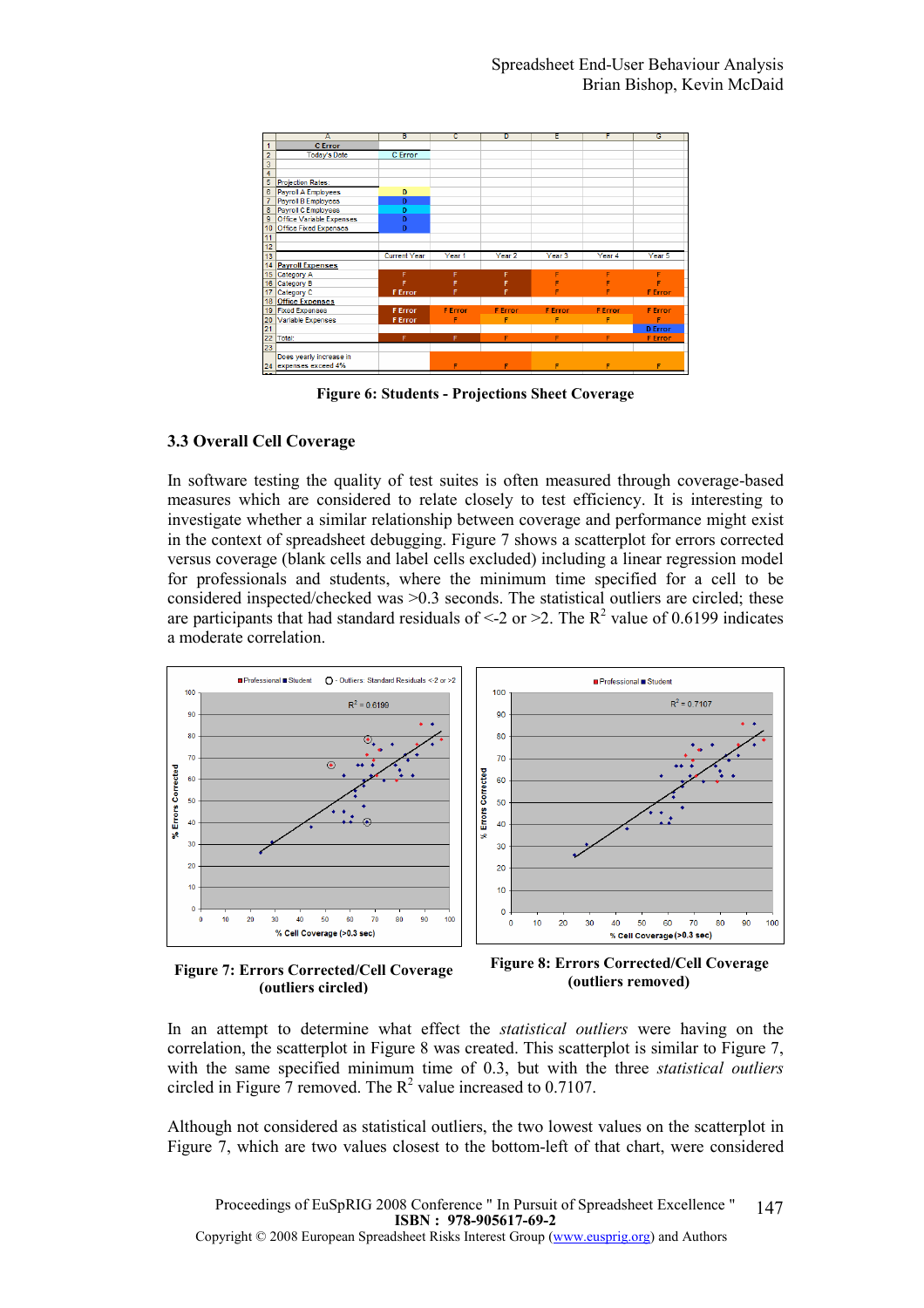

Figure 6: Students - Projections Sheet Coverage

#### 3.3 Overall Cell Coverage

In software testing the quality of test suites is often measured through coverage-based measures which are considered to relate closely to test efficiency. It is interesting to investigate whether a similar relationship between coverage and performance might exist in the context of spreadsheet debugging. Figure 7 shows a scatterplot for errors corrected versus coverage (blank cells and label cells excluded) including a linear regression model for professionals and students, where the minimum time specified for a cell to be considered inspected/checked was >0.3 seconds. The statistical outliers are circled; these are participants that had standard residuals of  $\leq$  2 or  $\geq$  2. The R<sup>2</sup> value of 0.6199 indicates a moderate correlation.



Figure 7: Errors Corrected/Cell Coverage (outliers circled)

Figure 8: Errors Corrected/Cell Coverage (outliers removed)

In an attempt to determine what effect the *statistical outliers* were having on the correlation, the scatterplot in Figure 8 was created. This scatterplot is similar to Figure 7, with the same specified minimum time of 0.3, but with the three *statistical outliers* circled in Figure  $\overline{7}$  removed. The  $\mathbb{R}^2$  value increased to 0.7107.

Although not considered as statistical outliers, the two lowest values on the scatterplot in Figure 7, which are two values closest to the bottom-left of that chart, were considered

Proceedings of EuSpRIG 2008 Conference " In Pursuit of Spreadsheet Excellence " ISBN : 978-905617-69-2 Copyright © 2008 European Spreadsheet Risks Interest Group (www.eusprig.org) and Authors 147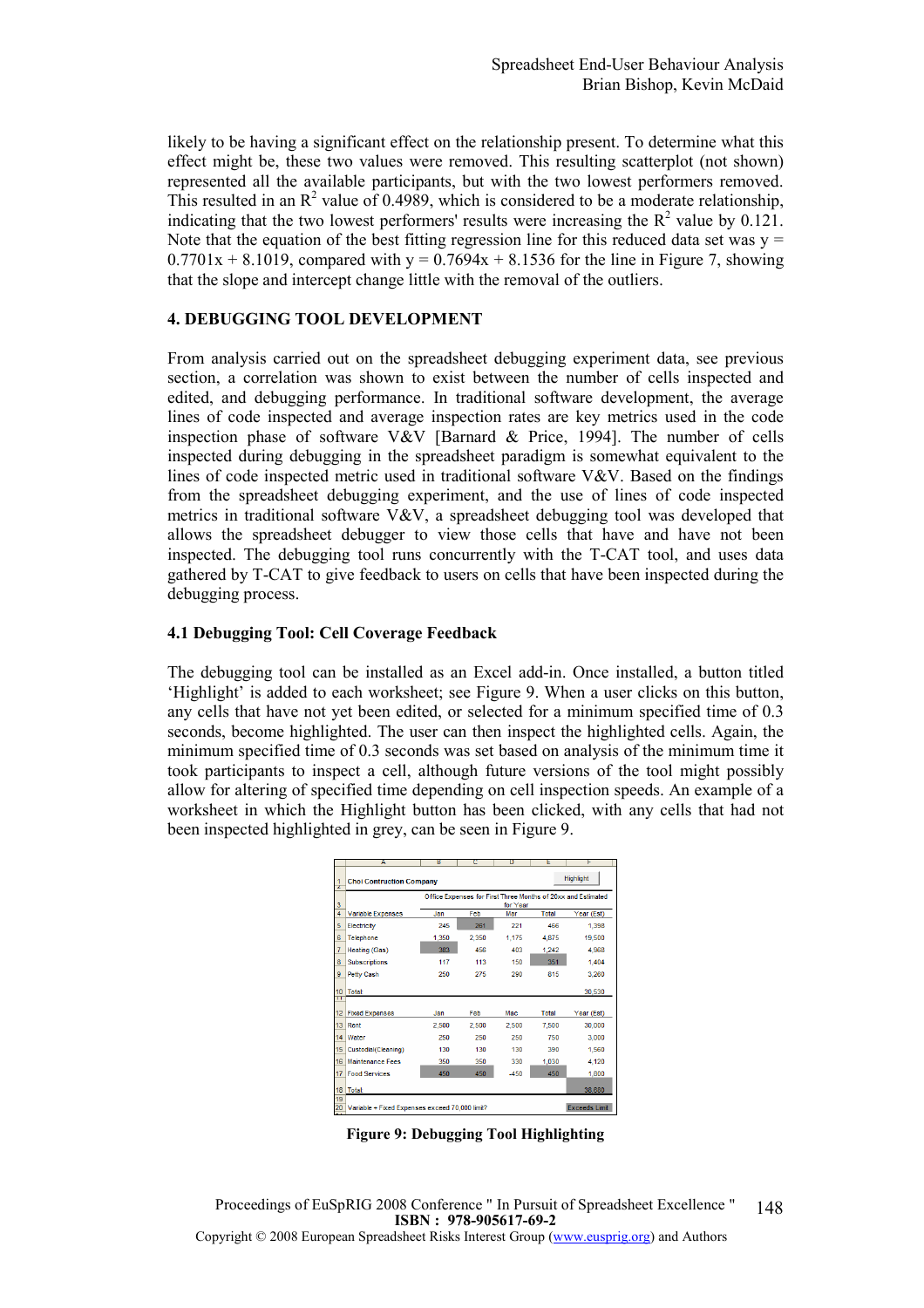likely to be having a significant effect on the relationship present. To determine what this effect might be, these two values were removed. This resulting scatterplot (not shown) represented all the available participants, but with the two lowest performers removed. This resulted in an  $\mathbb{R}^2$  value of 0.4989, which is considered to be a moderate relationship, indicating that the two lowest performers' results were increasing the  $R^2$  value by 0.121. Note that the equation of the best fitting regression line for this reduced data set was  $y =$  $0.7701x + 8.1019$ , compared with y =  $0.7694x + 8.1536$  for the line in Figure 7, showing that the slope and intercept change little with the removal of the outliers.

# 4. DEBUGGING TOOL DEVELOPMENT

From analysis carried out on the spreadsheet debugging experiment data, see previous section, a correlation was shown to exist between the number of cells inspected and edited, and debugging performance. In traditional software development, the average lines of code inspected and average inspection rates are key metrics used in the code inspection phase of software V&V [Barnard & Price, 1994]. The number of cells inspected during debugging in the spreadsheet paradigm is somewhat equivalent to the lines of code inspected metric used in traditional software V&V. Based on the findings from the spreadsheet debugging experiment, and the use of lines of code inspected metrics in traditional software V&V, a spreadsheet debugging tool was developed that allows the spreadsheet debugger to view those cells that have and have not been inspected. The debugging tool runs concurrently with the T-CAT tool, and uses data gathered by T-CAT to give feedback to users on cells that have been inspected during the debugging process.

# 4.1 Debugging Tool: Cell Coverage Feedback

The debugging tool can be installed as an Excel add-in. Once installed, a button titled 'Highlight' is added to each worksheet; see Figure 9. When a user clicks on this button, any cells that have not yet been edited, or selected for a minimum specified time of 0.3 seconds, become highlighted. The user can then inspect the highlighted cells. Again, the minimum specified time of 0.3 seconds was set based on analysis of the minimum time it took participants to inspect a cell, although future versions of the tool might possibly allow for altering of specified time depending on cell inspection speeds. An example of a worksheet in which the Highlight button has been clicked, with any cells that had not been inspected highlighted in grey, can be seen in Figure 9.

|                 | A                                                                        | ъ     | τ     | υ      | Е     | т          |  |
|-----------------|--------------------------------------------------------------------------|-------|-------|--------|-------|------------|--|
| z               | <b>Highlight</b><br><b>Choi Contruction Company</b>                      |       |       |        |       |            |  |
| 3               | Office Expenses for First Three Months of 20xx and Estimated<br>for Year |       |       |        |       |            |  |
| 4               | <b>Variable Expenses</b>                                                 | Jan   | Feb   | Mar    | Total | Year (Est) |  |
| 5               | Electricity                                                              | 245   | 261   | 221    | 466   | 1.398      |  |
| 6               | <b>Telephone</b>                                                         | 1.350 | 2.350 | 1.175  | 4,875 | 19,500     |  |
| 7               | <b>Heating (Gas)</b>                                                     | 383   | 456   | 403    | 1,242 | 4.968      |  |
| 8               | <b>Subscriptions</b>                                                     | 117   | 113   | 150    | 351   | 1,404      |  |
| 9               | Petty Cash                                                               | 250   | 275   | 290    | 815   | 3.260      |  |
| 10<br>π         | Total:                                                                   |       |       |        |       | 30,530     |  |
|                 |                                                                          |       |       |        |       |            |  |
| 12 <sup>2</sup> | <b>Fixed Expenses</b>                                                    | Jan   | Feb   | Mac    | Total | Year (Est) |  |
| 13 <sup>°</sup> | Rent                                                                     | 2.500 | 2,500 | 2.500  | 7,500 | 30,000     |  |
| 14              | Water                                                                    | 250   | 250   | 250    | 750   | 3,000      |  |
| 15              | Custodial(Cleaning)                                                      | 130   | 130   | 130    | 390   | 1,560      |  |
| 16              | <b>Maintenance Fees</b>                                                  | 350   | 350   | 330    | 1,030 | 4.120      |  |
| 17              | <b>Food Services</b>                                                     | 450   | 450   | $-450$ | 450   | 1,800      |  |
| 18              | Total:                                                                   |       |       |        |       | 38,680     |  |
| 19<br>20        | <b>Exceeds Limit</b><br>Variable + Fixed Expenses exceed 70,000 limit?   |       |       |        |       |            |  |

Figure 9: Debugging Tool Highlighting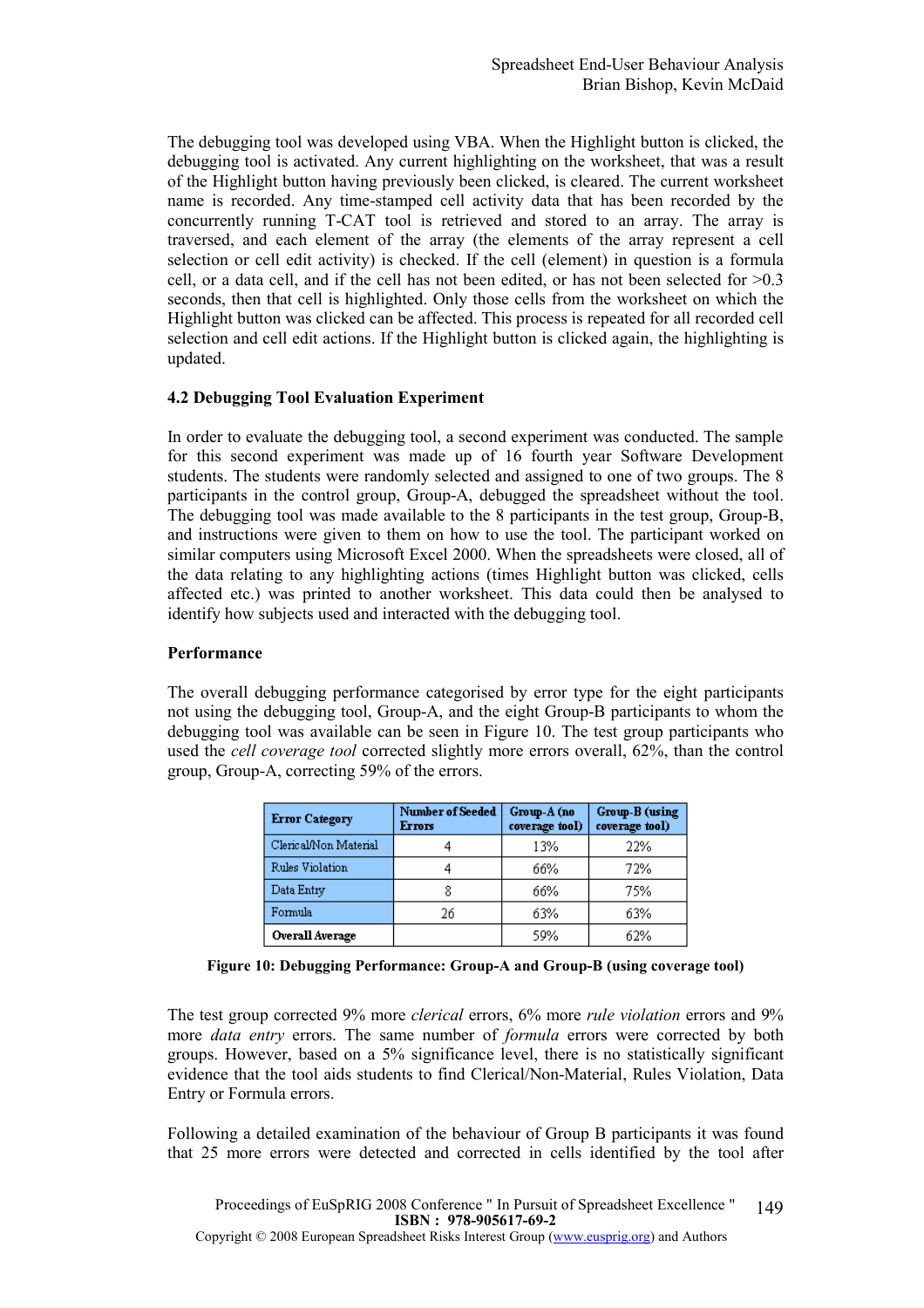The debugging tool was developed using VBA. When the Highlight button is clicked, the debugging tool is activated. Any current highlighting on the worksheet, that was a result of the Highlight button having previously been clicked, is cleared. The current worksheet name is recorded. Any time-stamped cell activity data that has been recorded by the concurrently running T-CAT tool is retrieved and stored to an array. The array is traversed, and each element of the array (the elements of the array represent a cell selection or cell edit activity) is checked. If the cell (element) in question is a formula cell, or a data cell, and if the cell has not been edited, or has not been selected for  $>0.3$ seconds, then that cell is highlighted. Only those cells from the worksheet on which the Highlight button was clicked can be affected. This process is repeated for all recorded cell selection and cell edit actions. If the Highlight button is clicked again, the highlighting is updated.

# 4.2 Debugging Tool Evaluation Experiment

In order to evaluate the debugging tool, a second experiment was conducted. The sample for this second experiment was made up of 16 fourth year Software Development students. The students were randomly selected and assigned to one of two groups. The 8 participants in the control group, Group-A, debugged the spreadsheet without the tool. The debugging tool was made available to the 8 participants in the test group, Group-B, and instructions were given to them on how to use the tool. The participant worked on similar computers using Microsoft Excel 2000. When the spreadsheets were closed, all of the data relating to any highlighting actions (times Highlight button was clicked, cells affected etc.) was printed to another worksheet. This data could then be analysed to identify how subjects used and interacted with the debugging tool.

#### Performance

The overall debugging performance categorised by error type for the eight participants not using the debugging tool, Group-A, and the eight Group-B participants to whom the debugging tool was available can be seen in Figure 10. The test group participants who used the cell coverage tool corrected slightly more errors overall, 62%, than the control group, Group-A, correcting 59% of the errors.

| <b>Error Category</b> | <b>Number of Seeded</b><br><b>Errors</b> | Group-A (no<br>coverage tool) | Group-B (using<br>coverage tool) |
|-----------------------|------------------------------------------|-------------------------------|----------------------------------|
| Clerical/Non Material |                                          | 13%                           | 22%                              |
| Rules Violation       |                                          | 66%                           | 72%                              |
| Data Entry            |                                          | 66%                           | 75%                              |
| Formula               | 26                                       | 63%                           | 63%                              |
| Overall Average       |                                          | 59%                           | 62%                              |

Figure 10: Debugging Performance: Group-A and Group-B (using coverage tool)

The test group corrected 9% more clerical errors, 6% more rule violation errors and 9% more *data entry* errors. The same number of *formula* errors were corrected by both groups. However, based on a 5% significance level, there is no statistically significant evidence that the tool aids students to find Clerical/Non-Material, Rules Violation, Data Entry or Formula errors.

Following a detailed examination of the behaviour of Group B participants it was found that 25 more errors were detected and corrected in cells identified by the tool after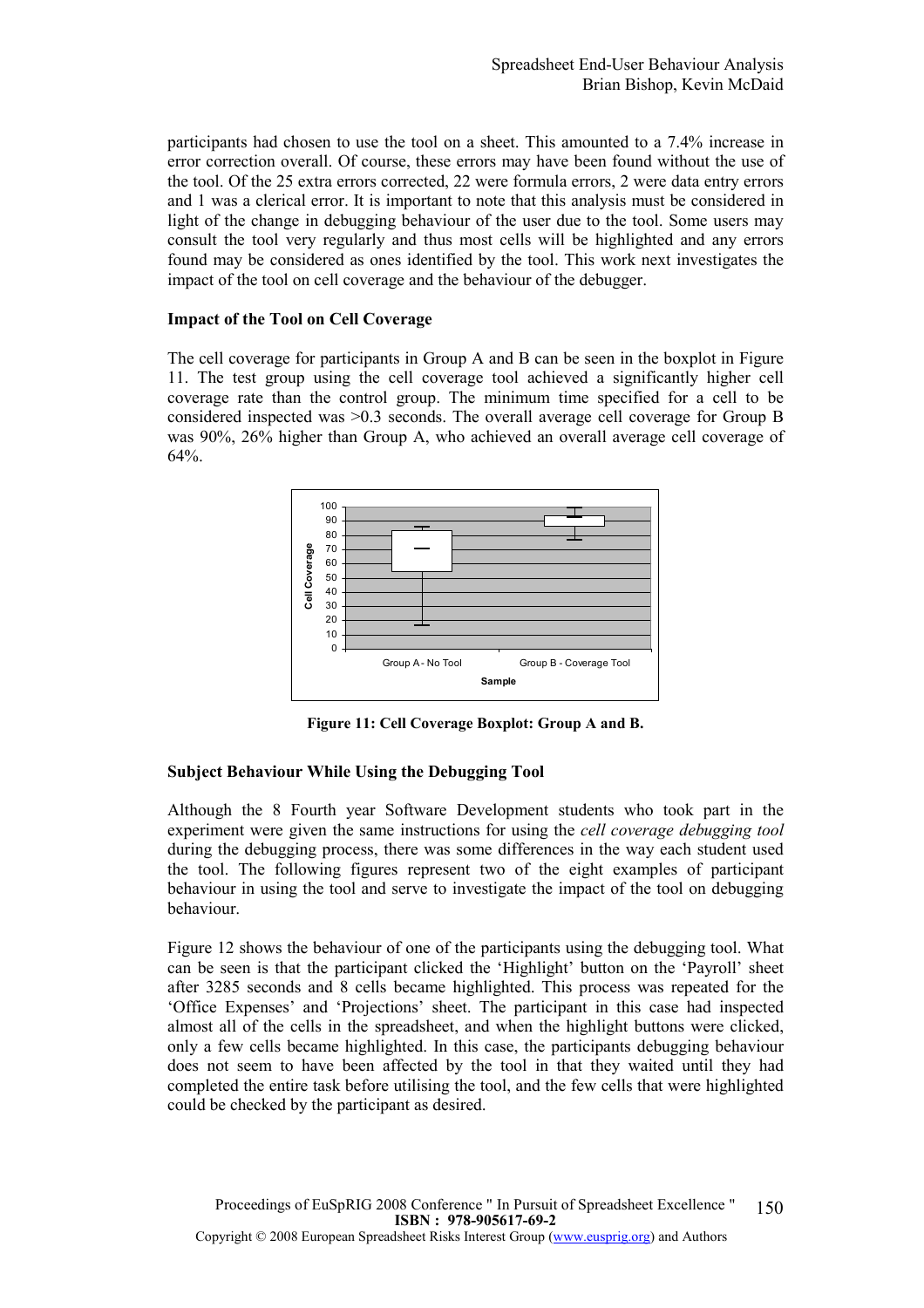participants had chosen to use the tool on a sheet. This amounted to a 7.4% increase in error correction overall. Of course, these errors may have been found without the use of the tool. Of the 25 extra errors corrected, 22 were formula errors, 2 were data entry errors and 1 was a clerical error. It is important to note that this analysis must be considered in light of the change in debugging behaviour of the user due to the tool. Some users may consult the tool very regularly and thus most cells will be highlighted and any errors found may be considered as ones identified by the tool. This work next investigates the impact of the tool on cell coverage and the behaviour of the debugger.

#### Impact of the Tool on Cell Coverage

The cell coverage for participants in Group A and B can be seen in the boxplot in Figure 11. The test group using the cell coverage tool achieved a significantly higher cell coverage rate than the control group. The minimum time specified for a cell to be considered inspected was >0.3 seconds. The overall average cell coverage for Group B was 90%, 26% higher than Group A, who achieved an overall average cell coverage of 64%.



Figure 11: Cell Coverage Boxplot: Group A and B.

# Subject Behaviour While Using the Debugging Tool

Although the 8 Fourth year Software Development students who took part in the experiment were given the same instructions for using the *cell coverage debugging tool* during the debugging process, there was some differences in the way each student used the tool. The following figures represent two of the eight examples of participant behaviour in using the tool and serve to investigate the impact of the tool on debugging behaviour.

Figure 12 shows the behaviour of one of the participants using the debugging tool. What can be seen is that the participant clicked the 'Highlight' button on the 'Payroll' sheet after 3285 seconds and 8 cells became highlighted. This process was repeated for the 'Office Expenses' and 'Projections' sheet. The participant in this case had inspected almost all of the cells in the spreadsheet, and when the highlight buttons were clicked, only a few cells became highlighted. In this case, the participants debugging behaviour does not seem to have been affected by the tool in that they waited until they had completed the entire task before utilising the tool, and the few cells that were highlighted could be checked by the participant as desired.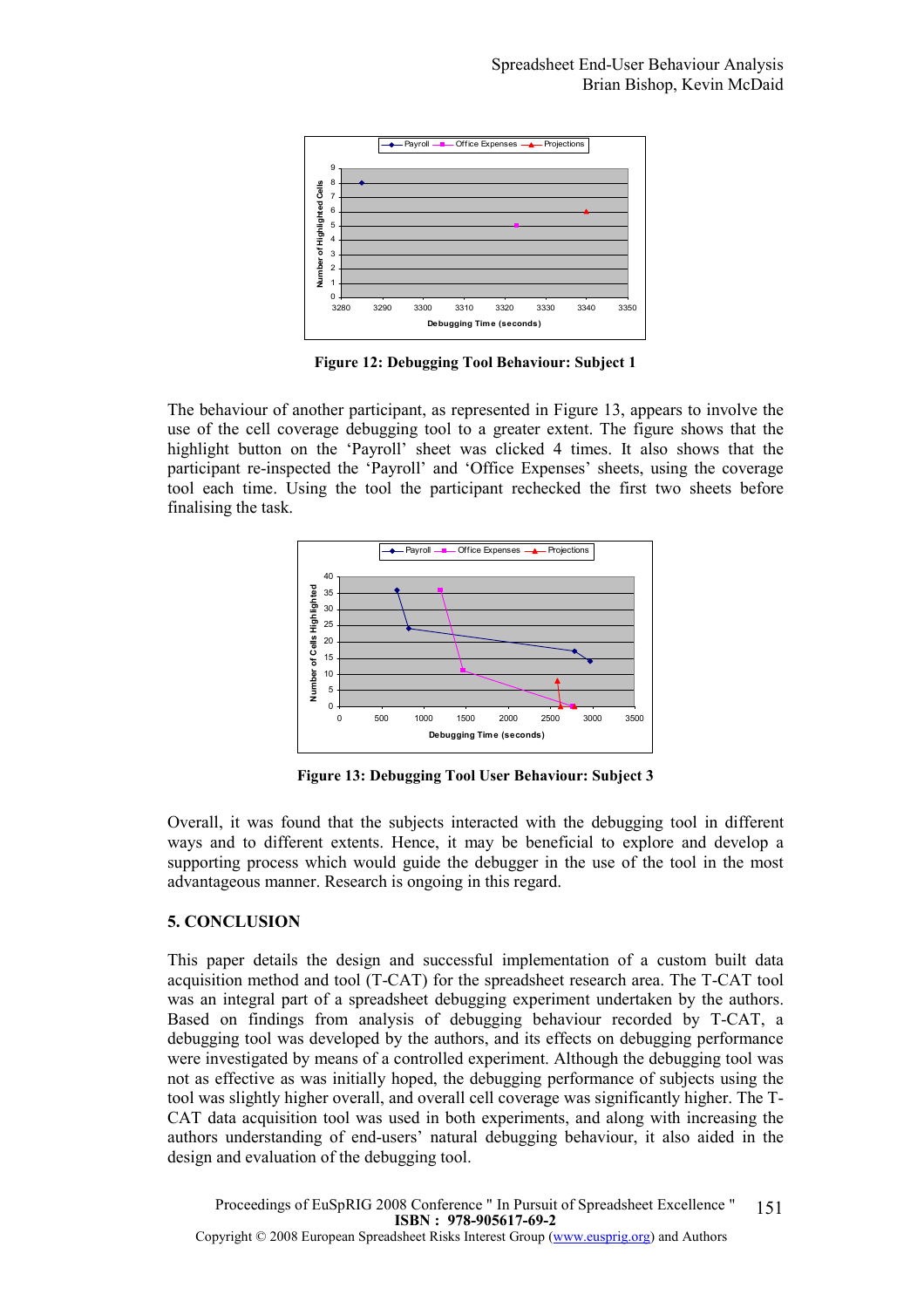

Figure 12: Debugging Tool Behaviour: Subject 1

The behaviour of another participant, as represented in Figure 13, appears to involve the use of the cell coverage debugging tool to a greater extent. The figure shows that the highlight button on the 'Payroll' sheet was clicked 4 times. It also shows that the participant re-inspected the 'Payroll' and 'Office Expenses' sheets, using the coverage tool each time. Using the tool the participant rechecked the first two sheets before finalising the task.



Figure 13: Debugging Tool User Behaviour: Subject 3

Overall, it was found that the subjects interacted with the debugging tool in different ways and to different extents. Hence, it may be beneficial to explore and develop a supporting process which would guide the debugger in the use of the tool in the most advantageous manner. Research is ongoing in this regard.

# 5. CONCLUSION

This paper details the design and successful implementation of a custom built data acquisition method and tool (T-CAT) for the spreadsheet research area. The T-CAT tool was an integral part of a spreadsheet debugging experiment undertaken by the authors. Based on findings from analysis of debugging behaviour recorded by T-CAT, a debugging tool was developed by the authors, and its effects on debugging performance were investigated by means of a controlled experiment. Although the debugging tool was not as effective as was initially hoped, the debugging performance of subjects using the tool was slightly higher overall, and overall cell coverage was significantly higher. The T-CAT data acquisition tool was used in both experiments, and along with increasing the authors understanding of end-users' natural debugging behaviour, it also aided in the design and evaluation of the debugging tool.